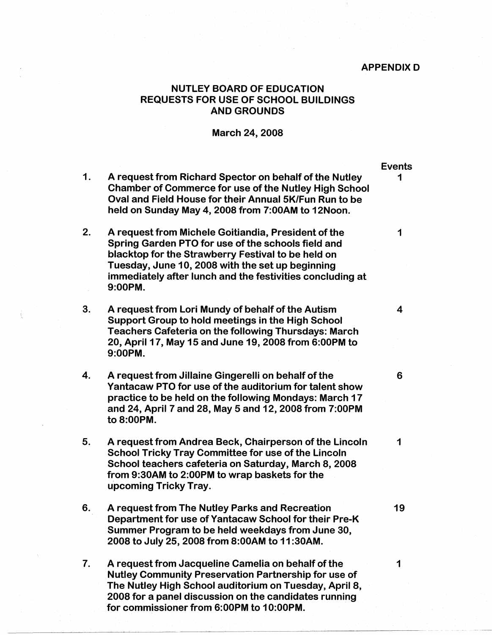## APPENDIX D

## NUTLEY BOARD OF EDUCATION REQUESTS FOR USE OF SCHOOL BUILDINGS **AND GROUNDS**

## March 24, 2008

- 1. A request from Richard Spector on behalf of the Nutley Chamber of Commerce for use of the Nutley High School Oval and Field House for their Annual SK/Fun Run to be held on Sunday May 4, 2008 from 7:00AM to 12Noon.
- 2. A request from Michele Goitiandia, President of the Spring Garden PTO for use of the schools field and blacktop for the Strawberry Festival to be held on Tuesday, June 10, 2008 with the set up beginning immediately after lunch and the festivities concluding at **9:00PM.**
- 3. A request from Lori Mundy of behalf of the Autism Support Group to hold meetings in the High School Teachers Cafeteria on the following Thursdays: March 20, April 17, May 15 and June 19, 2008 from 6:00PM to **9:00PM.**
- 4. A request from Jillaine Gingerelli on behalf of the Yantacaw PTO for use of the auditorium for talent show practice to be held on the following Mondays: March 17 and 24, April 7 and 28, May 5 and 12, 2008 from 7:00PM **to 8:00PM.**
- 5. A request from Andrea Beck, Chairperson of the Lincoln School Tricky Tray Committee for use of the Lincoln School teachers cafeteria on Saturday, March 8, 2008 from 9:30AM to 2:00PM to wrap baskets for the upcoming Tricky Tray.
- 6. A request from The Nutley Parks and Recreation Department for use of Yantacaw School for their Pre-K Summer Program to be held weekdays from June 30, 2008 to July 25, 2008 from **8:00AM** to 11 **:30AM.**
- 7. A request from Jacqueline Camelia on behalf of the Nutley Community Preservation Partnership for use of The Nutley High School auditorium on Tuesday, April 8, 2008 for a panel discussion on the candidates running for commissioner from 6:00PM to 1 0:00PM.

Events 1

1

4

6

1

19

1